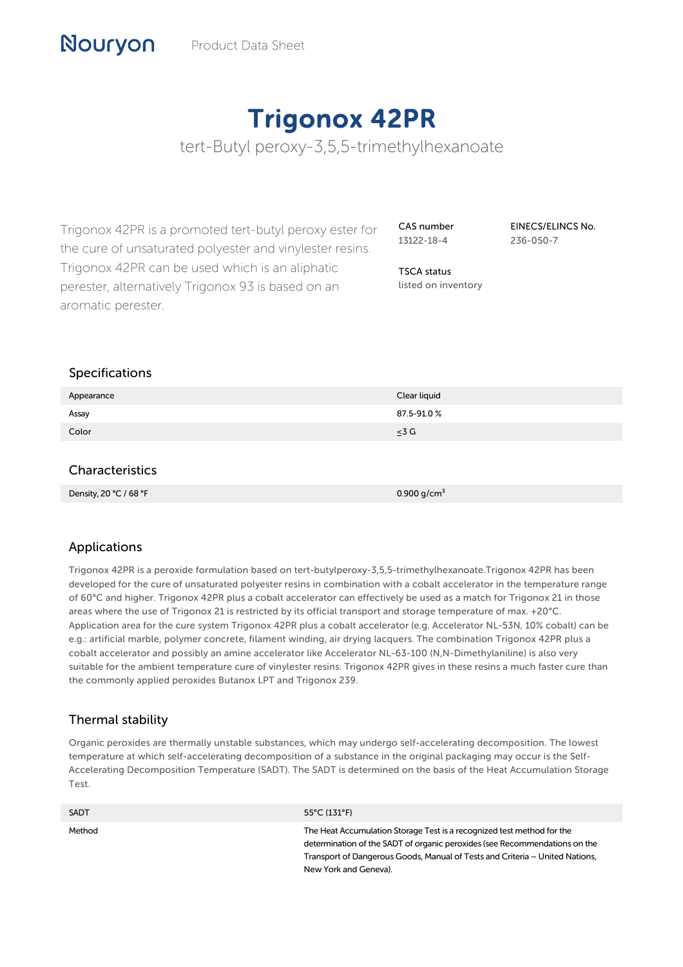# Trigonox 42PR

tert-Butyl peroxy-3,5,5-trimethylhexanoate

Trigonox 42PR is a promoted tert-butyl peroxy ester for the cure of unsaturated polyester and vinylester resins. Trigonox 42PR can be used which is an aliphatic perester, alternatively Trigonox 93 is based on an aromatic perester.

Density, 20 °C / 68 °F  $0.900 \text{ g/cm}^3$ 

CAS number 13122-18-4

EINECS/ELINCS No. 236-050-7

TSCA status listed on inventory

## Specifications

Nouryon

| Appearance      | Clear liquid |
|-----------------|--------------|
| Assay           | 87.5-91.0%   |
| Color           | $\leq 3$ G   |
|                 |              |
| Characteristics |              |
|                 |              |

## Applications

Trigonox 42PR is a peroxide formulation based on tert-butylperoxy-3,5,5-trimethylhexanoate.Trigonox 42PR has been developed for the cure of unsaturated polyester resins in combination with a cobalt accelerator in the temperature range of 60°C and higher. Trigonox 42PR plus a cobalt accelerator can effectively be used as a match for Trigonox 21 in those areas where the use of Trigonox 21 is restricted by its official transport and storage temperature of max. +20°C. Application area for the cure system Trigonox 42PR plus a cobalt accelerator (e.g. Accelerator NL-53N, 10% cobalt) can be e.g.: artificial marble, polymer concrete, filament winding, air drying lacquers. The combination Trigonox 42PR plus a cobalt accelerator and possibly an amine accelerator like Accelerator NL-63-100 (N,N-Dimethylaniline) is also very suitable for the ambient temperature cure of vinylester resins. Trigonox 42PR gives in these resins a much faster cure than the commonly applied peroxides Butanox LPT and Trigonox 239.

## Thermal stability

Organic peroxides are thermally unstable substances, which may undergo self-accelerating decomposition. The lowest temperature at which self-accelerating decomposition of a substance in the original packaging may occur is the Self-Accelerating Decomposition Temperature (SADT). The SADT is determined on the basis of the Heat Accumulation Storage Test.

| <b>SADT</b> | $55^{\circ}$ C (131°F)                                                                                                                                                                                                                                        |
|-------------|---------------------------------------------------------------------------------------------------------------------------------------------------------------------------------------------------------------------------------------------------------------|
| Method      | The Heat Accumulation Storage Test is a recognized test method for the<br>determination of the SADT of organic peroxides (see Recommendations on the<br>Transport of Dangerous Goods, Manual of Tests and Criteria – United Nations,<br>New York and Geneva). |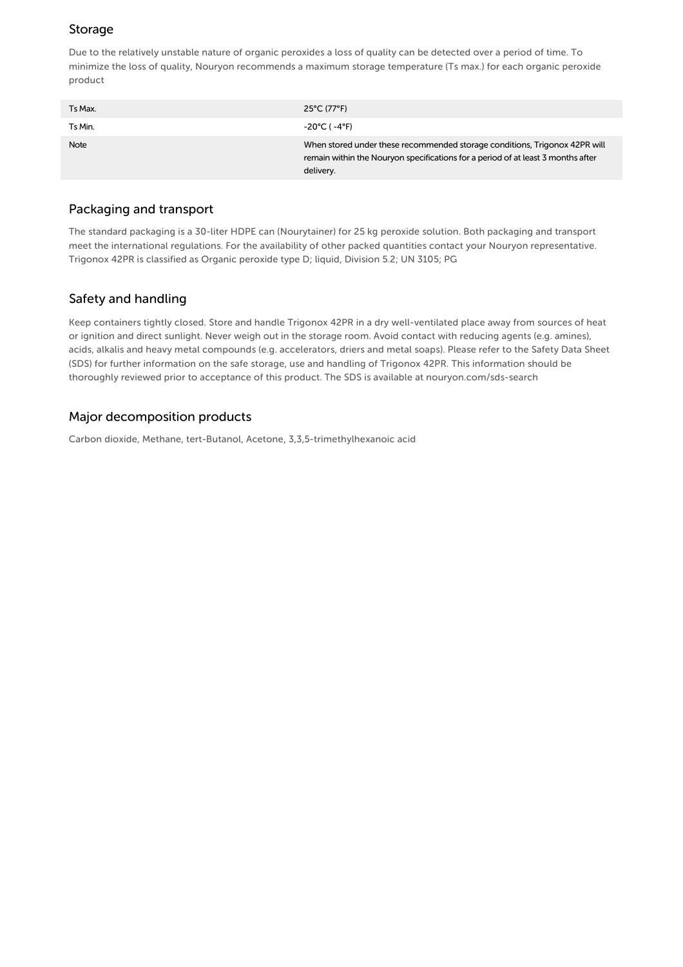## Storage

Due to the relatively unstable nature of organic peroxides a loss of quality can be detected over a period of time. To minimize the loss of quality, Nouryon recommends a maximum storage temperature (Ts max.) for each organic peroxide product

| Ts Max.     | 25°C (77°F)                                                                                                                                                                 |
|-------------|-----------------------------------------------------------------------------------------------------------------------------------------------------------------------------|
| Ts Min.     | -20°C ( -4°F)                                                                                                                                                               |
| <b>Note</b> | When stored under these recommended storage conditions, Trigonox 42PR will<br>remain within the Nouryon specifications for a period of at least 3 months after<br>delivery. |

#### Packaging and transport

The standard packaging is a 30-liter HDPE can (Nourytainer) for 25 kg peroxide solution. Both packaging and transport meet the international regulations. For the availability of other packed quantities contact your Nouryon representative. Trigonox 42PR is classified as Organic peroxide type D; liquid, Division 5.2; UN 3105; PG

## Safety and handling

Keep containers tightly closed. Store and handle Trigonox 42PR in a dry well-ventilated place away from sources of heat or ignition and direct sunlight. Never weigh out in the storage room. Avoid contact with reducing agents (e.g. amines), acids, alkalis and heavy metal compounds (e.g. accelerators, driers and metal soaps). Please refer to the Safety Data Sheet (SDS) for further information on the safe storage, use and handling of Trigonox 42PR. This information should be thoroughly reviewed prior to acceptance of this product. The SDS is available at nouryon.com/sds-search

## Major decomposition products

Carbon dioxide, Methane, tert-Butanol, Acetone, 3,3,5-trimethylhexanoic acid